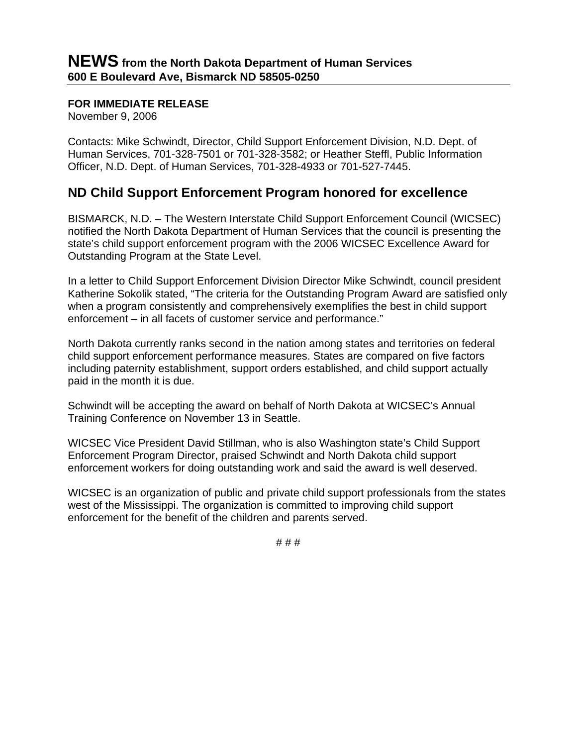## **FOR IMMEDIATE RELEASE**

November 9, 2006

Contacts: Mike Schwindt, Director, Child Support Enforcement Division, N.D. Dept. of Human Services, 701-328-7501 or 701-328-3582; or Heather Steffl, Public Information Officer, N.D. Dept. of Human Services, 701-328-4933 or 701-527-7445.

## **ND Child Support Enforcement Program honored for excellence**

BISMARCK, N.D. – The Western Interstate Child Support Enforcement Council (WICSEC) notified the North Dakota Department of Human Services that the council is presenting the state's child support enforcement program with the 2006 WICSEC Excellence Award for Outstanding Program at the State Level.

In a letter to Child Support Enforcement Division Director Mike Schwindt, council president Katherine Sokolik stated, "The criteria for the Outstanding Program Award are satisfied only when a program consistently and comprehensively exemplifies the best in child support enforcement – in all facets of customer service and performance."

North Dakota currently ranks second in the nation among states and territories on federal child support enforcement performance measures. States are compared on five factors including paternity establishment, support orders established, and child support actually paid in the month it is due.

Schwindt will be accepting the award on behalf of North Dakota at WICSEC's Annual Training Conference on November 13 in Seattle.

WICSEC Vice President David Stillman, who is also Washington state's Child Support Enforcement Program Director, praised Schwindt and North Dakota child support enforcement workers for doing outstanding work and said the award is well deserved.

WICSEC is an organization of public and private child support professionals from the states west of the Mississippi. The organization is committed to improving child support enforcement for the benefit of the children and parents served.

# # #